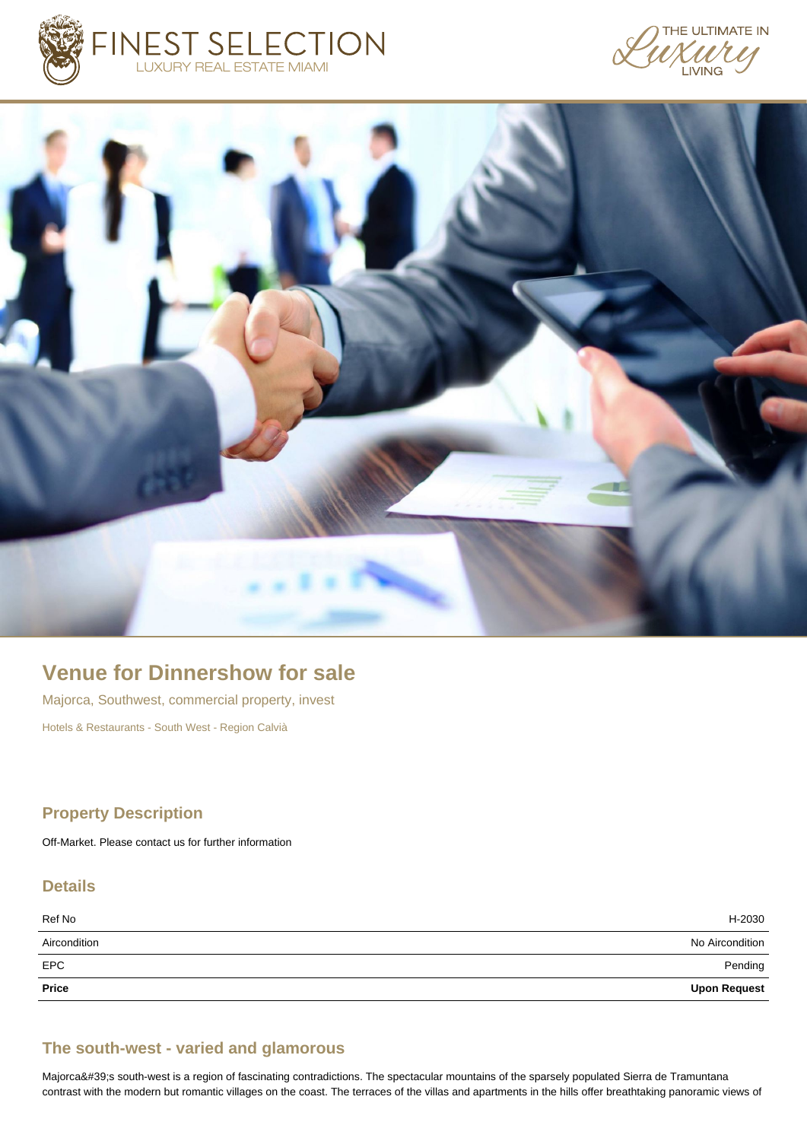





# **Venue for Dinnershow for sale**

Majorca, Southwest, commercial property, invest Hotels & Restaurants - South West - Region Calvià

#### **Property Description**

Off-Market. Please contact us for further information

## **Details**

| Ref No       | H-2030              |
|--------------|---------------------|
| Aircondition | No Aircondition     |
| <b>EPC</b>   | Pending             |
| Price        | <b>Upon Request</b> |

#### **The south-west - varied and glamorous**

Majorca's south-west is a region of fascinating contradictions. The spectacular mountains of the sparsely populated Sierra de Tramuntana contrast with the modern but romantic villages on the coast. The terraces of the villas and apartments in the hills offer breathtaking panoramic views of